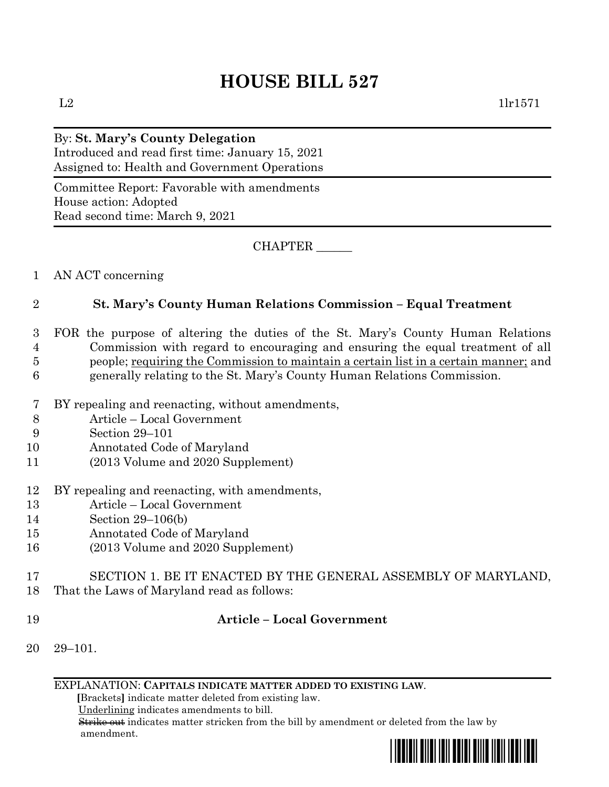## **HOUSE BILL 527**

### By: **St. Mary's County Delegation**

Introduced and read first time: January 15, 2021 Assigned to: Health and Government Operations

Committee Report: Favorable with amendments House action: Adopted Read second time: March 9, 2021

CHAPTER \_\_\_\_\_\_

#### 1 AN ACT concerning

#### 2 **St. Mary's County Human Relations Commission – Equal Treatment**

- 3 FOR the purpose of altering the duties of the St. Mary's County Human Relations 4 Commission with regard to encouraging and ensuring the equal treatment of all 5 people; requiring the Commission to maintain a certain list in a certain manner; and 6 generally relating to the St. Mary's County Human Relations Commission.
- 7 BY repealing and reenacting, without amendments,
- 8 Article Local Government
- 9 Section 29–101
- 10 Annotated Code of Maryland
- 11 (2013 Volume and 2020 Supplement)
- 12 BY repealing and reenacting, with amendments,
- 13 Article Local Government
- 14 Section 29–106(b)
- 15 Annotated Code of Maryland
- 16 (2013 Volume and 2020 Supplement)
- 17 SECTION 1. BE IT ENACTED BY THE GENERAL ASSEMBLY OF MARYLAND,
- 18 That the Laws of Maryland read as follows:
- 

#### 19 **Article – Local Government**

20 29–101.

EXPLANATION: **CAPITALS INDICATE MATTER ADDED TO EXISTING LAW**.

 **[**Brackets**]** indicate matter deleted from existing law.

Underlining indicates amendments to bill.

 Strike out indicates matter stricken from the bill by amendment or deleted from the law by amendment.